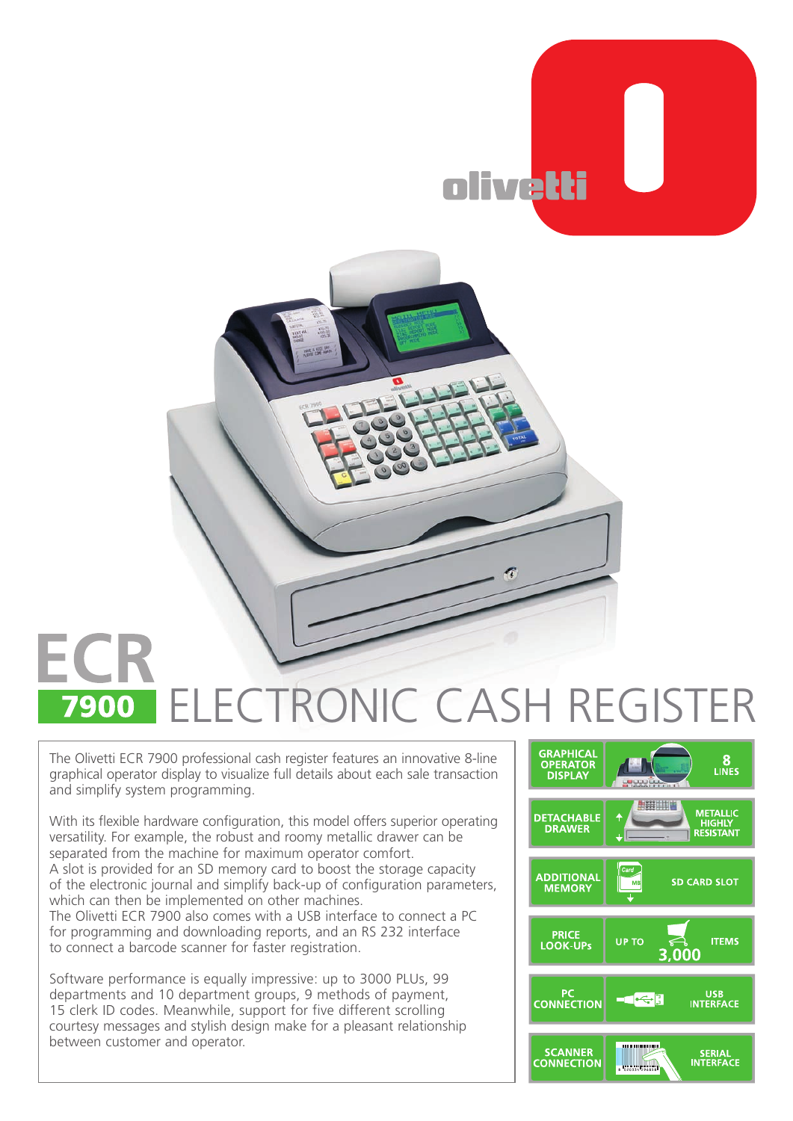



## ECR ECTRONIC CASH REGISTER 7900

The Olivetti ECR 7900 professional cash register features an innovative 8-line graphical operator display to visualize full details about each sale transaction and simplify system programming.

With its flexible hardware configuration, this model offers superior operating versatility. For example, the robust and roomy metallic drawer can be separated from the machine for maximum operator comfort. A slot is provided for an SD memory card to boost the storage capacity of the electronic journal and simplify back-up of configuration parameters, which can then be implemented on other machines.

The Olivetti ECR 7900 also comes with a USB interface to connect a PC for programming and downloading reports, and an RS 232 interface to connect a barcode scanner for faster registration.

Software performance is equally impressive: up to 3000 PLUs, 99 departments and 10 department groups, 9 methods of payment, 15 clerk ID codes. Meanwhile, support for five different scrolling courtesy messages and stylish design make for a pleasant relationship between customer and operator.